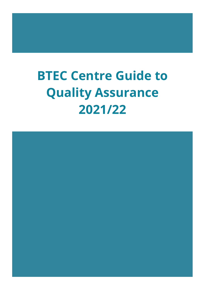# **BTEC Centre Guide to Quality Assurance 2021/22**

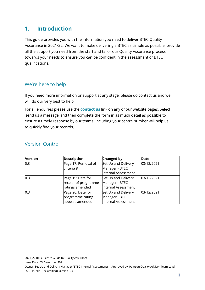# **1. Introduction**

This guide provides you with the information you need to deliver BTEC Quality Assurance in 2021/22. We want to make delivering a BTEC as simple as possible, provide all the support you need from the start and tailor our Quality Assurance process towards your needs to ensure you can be confident in the assessment of BTEC qualifications.

## We're here to help

If you need more information or support at any stage, please do contact us and we will do our very best to help.

For all enquiries please use the **[contact us](https://support.pearson.com/uk/s/qualification-contactus)** link on any of our website pages. Select 'send us a message' and then complete the form in as much detail as possible to ensure a timely response by our teams. Including your centre number will help us to quickly find your records.

| <b>Version</b> | <b>Description</b>   | <b>Changed by</b>   | Date       |
|----------------|----------------------|---------------------|------------|
| 0.3            | Page 17: Removal of  | Set Up and Delivery | 03/12/2021 |
|                | criteria 8           | Manager - BTEC      |            |
|                |                      | Internal Assessment |            |
| 0.3            | Page 19: Date for    | Set Up and Delivery | 03/12/2021 |
|                | receipt of programme | Manager - BTEC      |            |
|                | ratings amended      | Internal Assessment |            |
| 0.3            | Page 20: Date for    | Set Up and Delivery | 03/12/2021 |
|                | programme rating     | Manager - BTEC      |            |
|                | appeals amended.     | Internal Assessment |            |

### Version Control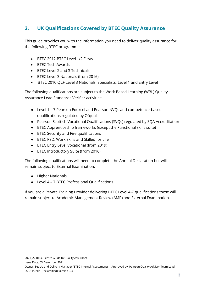# **2. UK Qualifications Covered by BTEC Quality Assurance**

This guide provides you with the information you need to deliver quality assurance for the following BTEC programmes:

- BTEC 2012 BTEC Level 1/2 Firsts
- BTEC Tech Awards
- BTEC Level 2 and 3 Technicals
- BTEC Level 3 Nationals (from 2016)
- BTEC 2010 QCF Level 3 Nationals, Specialists, Level 1 and Entry Level

The following qualifications are subject to the Work Based Learning (WBL) Quality Assurance Lead Standards Verifier activities:

- Level 1 7 Pearson Edexcel and Pearson NVQs and competence-based qualifications regulated by Ofqual
- Pearson Scottish Vocational Qualifications (SVQs) regulated by SQA Accreditation
- BTEC Apprenticeship frameworks (except the Functional skills suite)
- BTEC Security and Fire qualifications
- BTEC PSD, Work Skills and Skilled for Life
- BTEC Entry Level Vocational (from 2019)
- BTEC Introductory Suite (from 2016)

The following qualifications will need to complete the Annual Declaration but will remain subject to External Examination:

- Higher Nationals
- Level 4 7 BTEC Professional Qualifications

If you are a Private Training Provider delivering BTEC Level 4-7 qualifications these will remain subject to Academic Management Review (AMR) and External Examination.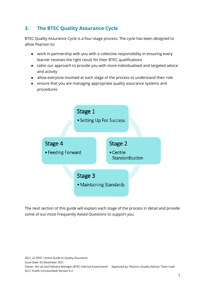# **3. The BTEC Quality Assurance Cycle**

BTEC Quality Assurance Cycle is a four-stage process. The cycle has been designed to allow Pearson to:

- work in partnership with you with a collective responsibility in ensuring every learner receives the right result for their BTEC qualifications
- tailor our approach to provide you with more individualised and targeted advice and activity
- allow everyone involved at each stage of the process to understand their role
- ensure that you are managing appropriate quality assurance systems and procedures



The next section of this guide will explain each stage of the process in detail and provide some of our most Frequently Asked Questions to support you.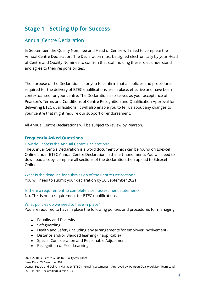# **Stage 1 Setting Up for Success**

## Annual Centre Declaration

In September, the Quality Nominee and Head of Centre will need to complete the Annual Centre Declaration. The Declaration must be signed electronically by your Head of Centre and Quality Nominee to confirm that staff holding these roles understand and agree to their responsibilities.

The purpose of the Declaration is for you to confirm that all policies and procedures required for the delivery of BTEC qualifications are in place, effective and have been contextualised for your centre. The Declaration also serves as your acceptance of Pearson's Terms and Conditions of Centre Recognition and Qualification Approval for delivering BTEC qualifications. It will also enable you to tell us about any changes to your centre that might require our support or endorsement.

All Annual Centre Declarations will be subject to review by Pearson.

#### **Frequently Asked Questions**

#### How do I access the Annual Centre Declaration?

The Annual Centre Declaration is a word document which can be found on Edexcel Online under BTEC Annual Centre Declaration in the left-hand menu. You will need to download a copy, complete all sections of the declaration then upload to Edexcel Online.

What is the deadline for submission of the Centre Declaration? You will need to submit your declaration by 30 September 2021.

Is there a requirement to complete a self-assessment statement? No. This is not a requirement for BTEC qualifications.

#### What policies do we need to have in place?

You are required to have in place the following policies and procedures for managing:

- Equality and Diversity
- Safeguarding
- Health and Safety (including any arrangements for employer Involvement)
- Distance and/or Blended learning (if applicable)
- Special Consideration and Reasonable Adjustment
- Recognition of Prior Learning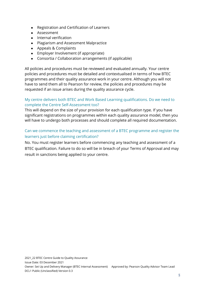- Registration and Certification of Learners
- Assessment
- Internal verification
- Plagiarism and Assessment Malpractice
- Appeals & Complaints
- Employer Involvement (if appropriate)
- Consortia / Collaboration arrangements (if applicable)

All policies and procedures must be reviewed and evaluated annually. Your centre policies and procedures must be detailed and contextualised in terms of how BTEC programmes and their quality assurance work in your centre. Although you will not have to send them all to Pearson for review, the policies and procedures may be requested if an issue arises during the quality assurance cycle.

#### My centre delivers both BTEC and Work Based Learning qualifications. Do we need to complete the Centre Self-Assessment too?

This will depend on the size of your provision for each qualification type. If you have significant registrations on programmes within each quality assurance model, then you will have to undergo both processes and should complete all required documentation.

#### Can we commence the teaching and assessment of a BTEC programme and register the learners just before claiming certification?

No. You must register learners before commencing any teaching and assessment of a BTEC qualification. Failure to do so will be in breach of your Terms of Approval and may result in sanctions being applied to your centre.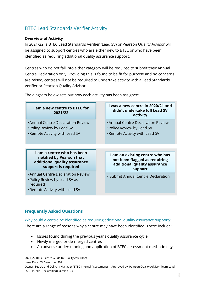# BTEC Lead Standards Verifier Activity

#### **Overview of Activity**

In 2021/22, a BTEC Lead Standards Verifier (Lead SV) or Pearson Quality Advisor will be assigned to support centres who are either new to BTEC or who have been identified as requiring additional quality assurance support.

Centres who do not fall into either category will be required to submit their Annual Centre Declaration only. Providing this is found to be fit for purpose and no concerns are raised, centres will not be required to undertake activity with a Lead Standards Verifier or Pearson Quality Advisor.

| I am a new centre to BTEC for<br>2021/22                                                                      | I was a new centre in 2020/21 and<br>didn't undertake full Lead SV<br>activity                              |
|---------------------------------------------------------------------------------------------------------------|-------------------------------------------------------------------------------------------------------------|
| •Annual Centre Declaration Review<br>•Policy Review by Lead SV<br>.Remote Activity with Lead SV               | •Annual Centre Declaration Review<br>•Policy Review by Lead SV<br>.Remote Activity with Lead SV             |
|                                                                                                               |                                                                                                             |
|                                                                                                               |                                                                                                             |
| I am a centre who has been<br>notified by Pearson that<br>additional quality assurance<br>support is required | I am an existing centre who has<br>not been flagged as requiring<br>additional quality assurance<br>support |

The diagram below sets out how each activity has been assigned:

#### **Frequently Asked Questions**

#### Why could a centre be identified as requiring additional quality assurance support?

There are a range of reasons why a centre may have been identified. These include:

- Issues found during the previous year's quality assurance cycle
- Newly merged or de-merged centres
- An adverse understanding and application of BTEC assessment methodology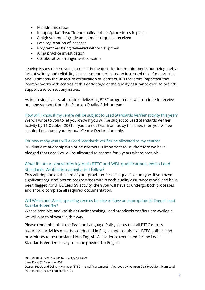- Maladministration
- Inappropriate/insufficient quality policies/procedures in place
- A high volume of grade adjustment requests received
- Late registration of learners
- Programmes being delivered without approval
- A malpractice investigation
- Collaborative arrangement concerns

Leaving issues unresolved can result in the qualification requirements not being met, a lack of validity and reliability in assessment decisions, an increased risk of malpractice and, ultimately the unsecure certification of learners. It is therefore important that Pearson works with centres at this early stage of the quality assurance cycle to provide support and correct any issues.

As in previous years, **all** centres delivering BTEC programmes will continue to receive ongoing support from the Pearson Quality Advisor team.

#### How will I know if my centre will be subject to Lead Standards Verifier activity this year? We will write to you to let you know if you will be subject to Lead Standards Verifier

activity by 11 October 2021. If you do not hear from us by this date, then you will be required to submit your Annual Centre Declaration only.

#### For how many years will a Lead Standards Verifier be allocated to my centre?

Building a relationship with our customers is important to us, therefore we have pledged that Lead SVs will be allocated to centres for 5 years where possible.

#### What if I am a centre offering both BTEC and WBL qualifications, which Lead Standards Verification activity do I follow?

This will depend on the size of your provision for each qualification type. If you have significant registrations on programmes within each quality assurance model and have been flagged for BTEC Lead SV activity, then you will have to undergo both processes and should complete all required documentation.

#### Will Welsh and Gaelic speaking centres be able to have an appropriate bi-lingual Lead Standards Verifier?

Where possible, and Welsh or Gaelic speaking Lead Standards Verifiers are available, we will aim to allocate in this way.

Please remember that the Pearson Language Policy states that all BTEC quality assurance activities must be conducted in English and requires all BTEC policies and procedures to be translated into English. All evidence requested for the Lead Standards Verifier activity must be provided in English.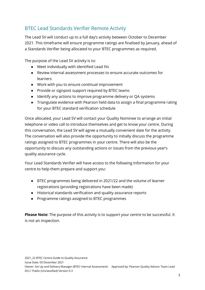## BTEC Lead Standards Verifier Remote Activity

The Lead SV will conduct up to a full day's activity between October to December 2021. This timeframe will ensure programme ratings are finalised by January, ahead of a Standards Verifier being allocated to your BTEC programmes as required.

The purpose of the Lead SV activity is to:

- Meet individually with identified Lead IVs
- Review internal assessment processes to ensure accurate outcomes for learners
- Work with you to ensure continual improvement
- Provide or signpost support required by BTEC teams
- Identify any actions to improve programme delivery or QA systems
- Triangulate evidence with Pearson held data to assign a final programme rating for your BTEC standard verification schedule

Once allocated, your Lead SV will contact your Quality Nominee to arrange an initial telephone or video call to introduce themselves and get to know your centre. During this conversation, the Lead SV will agree a mutually convenient date for the activity. The conversation will also provide the opportunity to initially discuss the programme ratings assigned to BTEC programmes in your centre. There will also be the opportunity to discuss any outstanding actions or issues from the previous year's quality assurance cycle.

Your Lead Standards Verifier will have access to the following information for your centre to help them prepare and support you:

- BTEC programmes being delivered in 2021/22 and the volume of learner registrations (providing registrations have been made)
- Historical standards verification and quality assurance reports
- Programme ratings assigned to BTEC programmes

**Please Note:** The purpose of this activity is to support your centre to be successful. It is not an inspection.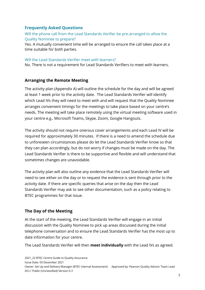#### **Frequently Asked Questions**

#### Will the phone call from the Lead Standards Verifier be pre-arranged to allow the Quality Nominee to prepare?

Yes. A mutually convenient time will be arranged to ensure the call takes place at a time suitable for both parties.

#### Will the Lead Standards Verifier meet with learners?

No. There is not a requirement for Lead Standards Verifiers to meet with learners.

#### **Arranging the Remote Meeting**

The activity plan (Appendix A) will outline the schedule for the day and will be agreed at least 1 week prior to the activity date. The Lead Standards Verifier will identify which Lead IVs they will need to meet with and will request that the Quality Nominee arranges convenient timings for the meetings to take place based on your centre's needs. The meeting will take place remotely using the virtual meeting software used in your centre e.g., Microsoft Teams, Skype, Zoom, Google Hangouts.

The activity should not require onerous cover arrangements and each Lead IV will be required for approximately 30 minutes. If there is a need to amend the schedule due to unforeseen circumstances please do let the Lead Standards Verifier know so that they can plan accordingly, but do not worry if changes must be made on the day. The Lead Standards Verifier is there to be supportive and flexible and will understand that sometimes changes are unavoidable.

The activity plan will also outline any evidence that the Lead Standards Verifier will need to see either on the day or to request the evidence is sent through prior to the activity date. If there are specific queries that arise on the day then the Lead Standards Verifier may ask to see other documentation, such as a policy relating to BTEC programmes for that issue.

#### **The Day of the Meeting**

At the start of the meeting, the Lead Standards Verifier will engage in an initial discussion with the Quality Nominee to pick up areas discussed during the initial telephone conversation and to ensure the Lead Standards Verifier has the most up to date information for your centre.

The Lead Standards Verifier will then **meet individually** with the Lead IVs as agreed.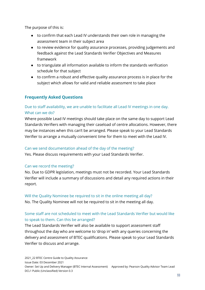The purpose of this is:

- to confirm that each Lead IV understands their own role in managing the assessment team in their subject area
- to review evidence for quality assurance processes, providing judgements and feedback against the Lead Standards Verifier Objectives and Measures framework
- to triangulate all information available to inform the standards verification schedule for that subject
- to confirm a robust and effective quality assurance process is in place for the subject which allows for valid and reliable assessment to take place

#### **Frequently Asked Questions**

#### Due to staff availability, we are unable to facilitate all Lead IV meetings in one day. What can we do?

Where possible Lead IV meetings should take place on the same day to support Lead Standards Verifiers with managing their caseload of centre allocations. However, there may be instances when this can't be arranged. Please speak to your Lead Standards Verifier to arrange a mutually convenient time for them to meet with the Lead IV.

#### Can we send documentation ahead of the day of the meeting?

Yes. Please discuss requirements with your Lead Standards Verifier.

#### Can we record the meeting?

No. Due to GDPR legislation, meetings must not be recorded. Your Lead Standards Verifier will include a summary of discussions and detail any required actions in their report.

#### Will the Quality Nominee be required to sit in the online meeting all day? No. The Quality Nominee will not be required to sit in the meeting all day.

#### Some staff are not scheduled to meet with the Lead Standards Verifier but would like to speak to them. Can this be arranged?

The Lead Standards Verifier will also be available to support assessment staff throughout the day who are welcome to 'drop in' with any queries concerning the delivery and assessment of BTEC qualifications. Please speak to your Lead Standards Verifier to discuss and arrange.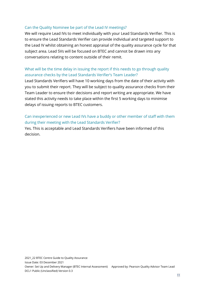#### Can the Quality Nominee be part of the Lead IV meetings?

We will require Lead IVs to meet individually with your Lead Standards Verifier. This is to ensure the Lead Standards Verifier can provide individual and targeted support to the Lead IV whilst obtaining an honest appraisal of the quality assurance cycle for that subject area. Lead SVs will be focused on BTEC and cannot be drawn into any conversations relating to content outside of their remit.

#### What will be the time delay in issuing the report if this needs to go through quality assurance checks by the Lead Standards Verifier's Team Leader?

Lead Standards Verifiers will have 10 working days from the date of their activity with you to submit their report. They will be subject to quality assurance checks from their Team Leader to ensure their decisions and report writing are appropriate. We have stated this activity needs to take place within the first 5 working days to minimise delays of issuing reports to BTEC customers.

#### Can inexperienced or new Lead IVs have a buddy or other member of staff with them during their meeting with the Lead Standards Verifier?

Yes. This is acceptable and Lead Standards Verifiers have been informed of this decision.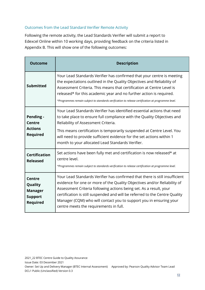#### Outcomes from the Lead Standard Verifier Remote Activity

Following the remote activity, the Lead Standards Verifier will submit a report to Edexcel Online within 10 working days, providing feedback on the criteria listed in Appendix B. This will show one of the following outcomes:

| <b>Outcome</b>                                                                  | <b>Description</b>                                                                                                                                                                                                                                                                                                                                                                                                           |
|---------------------------------------------------------------------------------|------------------------------------------------------------------------------------------------------------------------------------------------------------------------------------------------------------------------------------------------------------------------------------------------------------------------------------------------------------------------------------------------------------------------------|
| <b>Submitted</b>                                                                | Your Lead Standards Verifier has confirmed that your centre is meeting<br>the expectations outlined in the Quality Objectives and Reliability of<br>Assessment Criteria. This means that certification at Centre Level is<br>released* for this academic year and no further action is required.<br>*Programmes remain subject to standards verification to release certification at programme level.                        |
| <b>Pending -</b><br><b>Centre</b><br><b>Actions</b><br><b>Required</b>          | Your Lead Standards Verifier has identified essential actions that need<br>to take place to ensure full compliance with the Quality Objectives and<br>Reliability of Assessment Criteria.<br>This means certification is temporarily suspended at Centre Level. You<br>will need to provide sufficient evidence for the set actions within 1<br>month to your allocated Lead Standards Verifier.                             |
| <b>Certification</b><br><b>Released</b>                                         | Set actions have been fully met and certification is now released* at<br>centre level.<br>*Programmes remain subject to standards verification to release certification at programme level.                                                                                                                                                                                                                                  |
| <b>Centre</b><br>Quality<br><b>Manager</b><br><b>Support</b><br><b>Required</b> | Your Lead Standards Verifier has confirmed that there is still insufficient<br>evidence for one or more of the Quality Objectives and/or Reliability of<br>Assessment Criteria following actions being set. As a result, your<br>certification is still suspended and will be referred to the Centre Quality<br>Manager (CQM) who will contact you to support you in ensuring your<br>centre meets the requirements in full. |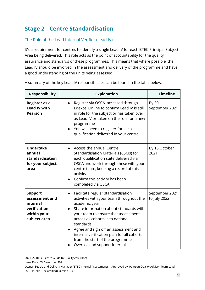# **Stage 2 Centre Standardisation**

#### The Role of the Lead Internal Verifier (Lead IV)

It's a requirement for centres to identify a single Lead IV for each BTEC Principal Subject Area being delivered. This role acts as the point of accountability for the quality assurance and standards of these programmes. This means that where possible, the Lead IV should be involved in the assessment and delivery of the programme and have a good understanding of the units being assessed.

| <b>Responsibility</b>                                                                       | <b>Explanation</b>                                                                                                                                                                                                                                                                                                                                                                                       | <b>Timeline</b>                |
|---------------------------------------------------------------------------------------------|----------------------------------------------------------------------------------------------------------------------------------------------------------------------------------------------------------------------------------------------------------------------------------------------------------------------------------------------------------------------------------------------------------|--------------------------------|
| Register as a<br><b>Lead IV with</b><br><b>Pearson</b>                                      | Register via OSCA, accessed through<br>Edexcel Online to confirm Lead IV is still<br>in role for the subject or has taken over<br>as Lead IV or taken on the role for a new<br>programme<br>You will need to register for each<br>qualification delivered in your centre                                                                                                                                 | By 30<br>September 2021        |
| <b>Undertake</b><br>annual<br>standardisation<br>for your subject<br>area                   | Access the annual Centre<br>Standardisation Materials (CSMs) for<br>each qualification suite delivered via<br>OSCA and work through these with your<br>centre team, keeping a record of this<br>activity<br>Confirm this activity has been<br>completed via OSCA                                                                                                                                         | By 15 October<br>2021          |
| <b>Support</b><br>assessment and<br>internal<br>verification<br>within your<br>subject area | Facilitate regular standardisation<br>$\bullet$<br>activities with your team throughout the<br>academic year<br>Share information about standards with<br>your team to ensure that assessment<br>across all cohorts is to national<br>standards<br>Agree and sign off an assessment and<br>internal verification plan for all cohorts<br>from the start of the programme<br>Oversee and support internal | September 2021<br>to July 2022 |

A summary of the key Lead IV responsibilities can be found in the table below: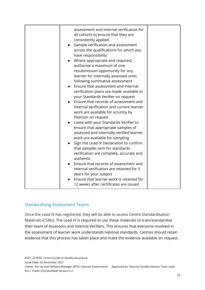| assessment and internal verification for<br>all cohorts to ensure that they are<br>consistently applied<br>Sample verification and assessment<br>$\bullet$<br>across the qualifications for which you<br>have responsibility<br>Where appropriate and required,<br>authorise a maximum of one<br>resubmission opportunity for any<br>learner for internally assessed units<br>following summative assessment<br>Ensure that assessment and internal<br>verification plans are made available to<br>your Standards Verifier on request<br>Ensure that records of assessment and<br>internal verification and current learner<br>work are available for scrutiny by<br>Pearson on request<br>Liaise with your Standards Verifier to<br>ensure that appropriate samples of<br>assessed and internally verified learner<br>work are available for sampling |  |
|--------------------------------------------------------------------------------------------------------------------------------------------------------------------------------------------------------------------------------------------------------------------------------------------------------------------------------------------------------------------------------------------------------------------------------------------------------------------------------------------------------------------------------------------------------------------------------------------------------------------------------------------------------------------------------------------------------------------------------------------------------------------------------------------------------------------------------------------------------|--|
| Sign the Lead IV Declaration to confirm<br>that samples sent for standards<br>verification are complete, accurate and<br>authentic<br>Ensure that records of assessment and                                                                                                                                                                                                                                                                                                                                                                                                                                                                                                                                                                                                                                                                            |  |
| internal verification are retained for 3<br>years for your subject<br>Ensure that learner work is retained for<br>12 weeks after certificates are issued                                                                                                                                                                                                                                                                                                                                                                                                                                                                                                                                                                                                                                                                                               |  |

#### Standardising Assessment Teams

Once the Lead IV has registered, they will be able to access Centre Standardisation Materials (CSMs). The Lead IV is required to use these materials to train/standardise their team of Assessors and Internal Verifiers. This ensures that everyone involved in the assessment of learner work understands national standards. Centres should retain evidence that this process has taken place and make the evidence available on request.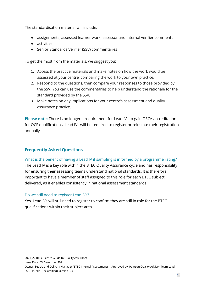The standardisation material will include:

- assignments, assessed learner work, assessor and internal verifier comments
- activities
- Senior Standards Verifier (SSV) commentaries

To get the most from the materials, we suggest you:

- 1. Access the practice materials and make notes on how the work would be assessed at your centre, comparing the work to your own practice.
- 2. Respond to the questions, then compare your responses to those provided by the SSV. You can use the commentaries to help understand the rationale for the standard provided by the SSV.
- 3. Make notes on any implications for your centre's assessment and quality assurance practice.

**Please note:** There is no longer a requirement for Lead IVs to gain OSCA accreditation for QCF qualifications. Lead IVs will be required to register or reinstate their registration annually.

#### **Frequently Asked Questions**

What is the benefit of having a Lead IV if sampling is informed by a programme rating?

The Lead IV is a key role within the BTEC Quality Assurance cycle and has responsibility for ensuring their assessing teams understand national standards. It is therefore important to have a member of staff assigned to this role for each BTEC subject delivered, as it enables consistency in national assessment standards.

#### Do we still need to register Lead IVs?

Yes. Lead IVs will still need to register to confirm they are still in role for the BTEC qualifications within their subject area.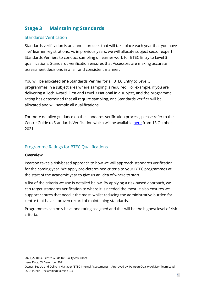# **Stage 3 Maintaining Standards**

#### Standards Verification

Standards verification is an annual process that will take place each year that you have 'live' learner registrations. As in previous years, we will allocate subject sector expert Standards Verifiers to conduct sampling of learner work for BTEC Entry to Level 3 qualifications. Standards verification ensures that Assessors are making accurate assessment decisions in a fair and consistent manner.

You will be allocated **one** Standards Verifier for all BTEC Entry to Level 3 programmes in a subject area where sampling is required. For example, if you are delivering a Tech Award, First and Level 3 National in a subject, and the programme rating has determined that all require sampling, one Standards Verifier will be allocated and will sample all qualifications.

For more detailed guidance on the standards verification process, please refer to the Centre Guide to Standards Verification which will be available [here](https://qualifications.pearson.com/en/support/support-for-you/quality-nominees/btec-entry-level-3.html) from 18 October 2021.

#### Programme Ratings for BTEC Qualifications

#### **Overview**

Pearson takes a risk-based approach to how we will approach standards verification for the coming year. We apply pre-determined criteria to your BTEC programmes at the start of the academic year to give us an idea of where to start.

A list of the criteria we use is detailed below. By applying a risk-based approach, we can target standards verification to where it is needed the most. It also ensures we support centres that need it the most, whilst reducing the administrative burden for centre that have a proven record of maintaining standards.

Programmes can only have one rating assigned and this will be the highest level of risk criteria.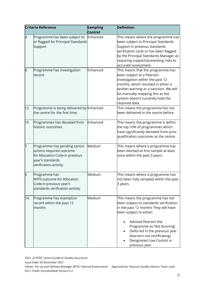| <b>Criteria Reference</b> |                                                                                                                                          | <b>Sampling</b><br>Control | <b>Definition</b>                                                                                                                                                                                                                                                                                                 |  |
|---------------------------|------------------------------------------------------------------------------------------------------------------------------------------|----------------------------|-------------------------------------------------------------------------------------------------------------------------------------------------------------------------------------------------------------------------------------------------------------------------------------------------------------------|--|
| 4                         | Programme has been subject to<br>or flagged for Principal Standards<br>Support                                                           | Enhanced                   | This means where the programme has<br>been subject to Principal Standards<br>Support in previous standards<br>verification cycle or has been flagged<br>by the Principal Standards Manager as<br>requiring support/presenting risks to<br>accurate assessment.                                                    |  |
| 6                         | Programme has investigation<br>record                                                                                                    | Enhanced                   | This means that the programme has<br>been subject to a Pearson<br>investigation within the past 12<br>months, which resulted in either a<br>written warning or a sanction. We will<br>be manually mapping this as the<br>system doesn't currently hold the<br>required data.                                      |  |
| 12                        | Programme is being delivered by Enhanced<br>the centre for the first time                                                                |                            | This means the programme has not<br>been delivered in the centre before.                                                                                                                                                                                                                                          |  |
| 15                        | Programmes has deviated from<br>historic outcomes                                                                                        | Enhanced                   | This means the programme is within<br>the top 10% of programmes which<br>have significantly deviated from prior<br>qualification outcomes at the centre.                                                                                                                                                          |  |
| 7                         | Programme has pending centre<br>actions required outcome<br>for Allocation Code in previous<br>year's standards<br>verification activity | Medium                     | This means where a programme has<br>been blocked at first sample at least<br>once within the past 3 years.                                                                                                                                                                                                        |  |
| 5                         | Programme has<br><b>NYFS outcome for Allocation</b><br>Code in previous year's<br>standards verification activity                        | Medium                     | This means where a programme has<br>not been fully sampled within the past<br>3 years.                                                                                                                                                                                                                            |  |
| 14                        | Programme has exemption<br>record within the past 12<br>months                                                                           | Medium                     | This means the programme has not<br>been subject to standards verification<br>in the past 12 months They will have<br>been subject to either:<br>Advised Pearson the<br>Programme as 'Not Running'<br>Deferred in the previous year<br>(learners not certificating)<br>Designated Low Control in<br>previous year |  |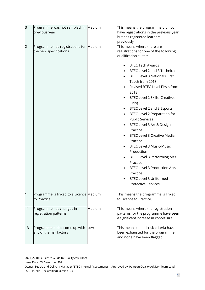| З              | Programme was not sampled in Medium<br>previous year             |        | This means the programme did not<br>have registrations in the previous year<br>but has registered learners<br>previously                                                                                                                                                                                                                                                                                                                                                                                                                                                                                                                                                                                                 |
|----------------|------------------------------------------------------------------|--------|--------------------------------------------------------------------------------------------------------------------------------------------------------------------------------------------------------------------------------------------------------------------------------------------------------------------------------------------------------------------------------------------------------------------------------------------------------------------------------------------------------------------------------------------------------------------------------------------------------------------------------------------------------------------------------------------------------------------------|
| $\overline{2}$ | Programme has registrations for Medium<br>the new specifications |        | This means where there are<br>registrations for one of the following<br>qualification suites:<br><b>BTEC Tech Awards</b><br>BTEC Level 2 and 3 Technicals<br><b>BTEC Level 3 Nationals First</b><br>Teach from 2018<br>Revised BTEC Level Firsts from<br>2018<br><b>BTEC Level 2 Skills (Creatives</b><br>Only)<br>BTEC Level 2 and 3 Esports<br>BTEC Level 2 Preparation for<br><b>Public Services</b><br>BTEC Level 3 Art & Design<br>Practice<br><b>BTEC Level 3 Creative Media</b><br>Practice<br><b>BTEC Level 3 Music/Music</b><br>Production<br><b>BTEC Level 3 Performing Arts</b><br>Practice<br><b>BTEC Level 3 Production Arts</b><br>Practice<br><b>BTEC Level 3 Uniformed</b><br><b>Protective Services</b> |
|                | Programme is linked to a Licence Medium<br>to Practice           |        | This means the programme is linked<br>to Licence to Practice.                                                                                                                                                                                                                                                                                                                                                                                                                                                                                                                                                                                                                                                            |
| 11             | Programme has changes in<br>registration patterns                | Medium | This means where the registration<br>patterns for the programme have seen<br>a significant increase in cohort size                                                                                                                                                                                                                                                                                                                                                                                                                                                                                                                                                                                                       |
| 13             | Programme didn't come up with<br>any of the risk factors         | Low    | This means that all risk criteria have<br>been exhausted for the programme<br>and none have been flagged.                                                                                                                                                                                                                                                                                                                                                                                                                                                                                                                                                                                                                |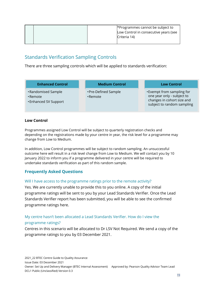| *Programmes cannot be subject to<br>Low Control in consecutive years (see |
|---------------------------------------------------------------------------|
| Criteria 14)                                                              |

## Standards Verification Sampling Controls

There are three sampling controls which will be applied to standards verification:

| <b>Enhanced Control</b>                                 | <b>Medium Control</b>           | <b>Low Control</b>                                                                                                  |
|---------------------------------------------------------|---------------------------------|---------------------------------------------------------------------------------------------------------------------|
| • Randomised Sample<br>•Remote<br>• Enhanced SV Support | • Pre-Defined Sample<br>•Remote | •Exempt from sampling for<br>one year only - subject to<br>changes in cohort size and<br>subject to random sampling |

#### **Low Control**

Programmes assigned Low Control will be subject to quarterly registration checks and depending on the registrations made by your centre in year, the risk level for a programme may change from Low to Medium.

In addition, Low Control programmes will be subject to random sampling. An unsuccessful outcome here will result in a risk level change from Low to Medium. We will contact you by 10 January 2022 to inform you if a programme delivered in your centre will be required to undertake standards verification as part of this random sample.

#### **Frequently Asked Questions**

#### Will I have access to the programme ratings prior to the remote activity?

Yes. We are currently unable to provide this to you online. A copy of the initial programme ratings will be sent to you by your Lead Standards Verifier. Once the Lead Standards Verifier report has been submitted, you will be able to see the confirmed programme ratings here.

#### My centre hasn't been allocated a Lead Standards Verifier. How do I view the programme ratings?

Centres in this scenario will be allocated to Dr LSV Not Required. We send a copy of the programme ratings to you by 03 December 2021.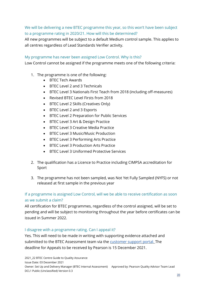#### We will be delivering a new BTEC programme this year, so this won't have been subject to a programme rating in 2020/21. How will this be determined?

All new programmes will be subject to a default Medium control sample. This applies to all centres regardless of Lead Standards Verifier activity.

#### My programme has never been assigned Low Control. Why is this?

Low Control cannot be assigned if the programme meets one of the following criteria:

- 1. The programme is one of the following:
	- BTEC Tech Awards
	- BTEC Level 2 and 3 Technicals
	- BTEC Level 3 Nationals First Teach from 2018 (including off-measures)
	- Revised BTEC Level Firsts from 2018
	- BTEC Level 2 Skills (Creatives Only)
	- BTEC Level 2 and 3 Esports
	- BTEC Level 2 Preparation for Public Services
	- BTEC Level 3 Art & Design Practice
	- BTEC Level 3 Creative Media Practice
	- BTEC Level 3 Music/Music Production
	- BTEC Level 3 Performing Arts Practice
	- BTEC Level 3 Production Arts Practice
	- BTEC Level 3 Uniformed Protective Services
- 2. The qualification has a Licence to Practice including CIMPSA accreditation for Sport
- 3. The programme has not been sampled, was Not Yet Fully Sampled (NYFS) or not released at first sample in the previous year

#### If a programme is assigned Low Control, will we be able to receive certification as soon as we submit a claim?

All certification for BTEC programmes, regardless of the control assigned, will be set to pending and will be subject to monitoring throughout the year before certificates can be issued in Summer 2022.

#### I disagree with a programme rating. Can I appeal it?

Yes. This will need to be made in writing with supporting evidence attached and submitted to the BTEC Assessment team via the [customer support portal.](https://support.pearson.com/getsupport/s/contactsupport) The deadline for Appeals to be received by Pearson is 15 December 2021.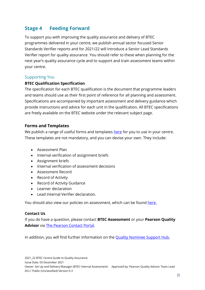# **Stage 4 Feeding Forward**

To support you with improving the quality assurance and delivery of BTEC programmes delivered in your centre, we publish annual sector focused Senior Standards Verifier reports and for 2021/22 will introduce a Senior Lead Standards Verifier report for quality assurance. You should refer to these when planning for the next year's quality assurance cycle and to support and train assessment teams within your centre.

#### Supporting You

#### **BTEC Qualification Specification**

The specification for each BTEC qualification is the document that programme leaders and teams should use as their first point of reference for all planning and assessment. Specifications are accompanied by important assessment and delivery guidance which provide instructions and advice for each unit in the qualification. All BTEC specifications are freely available on the BTEC website under the relevant subject page.

#### **Forms and Templates**

We publish a range of useful forms and templates [here](https://qualifications.pearson.com/en/support/support-for-you/quality-nominees/btec-entry-level-3.html) for you to use in your centre. These templates are not mandatory, and you can devise your own. They include:

- Assessment Plan
- Internal verification of assignment briefs
- Assignment briefs
- Internal verification of assessment decisions
- Assessment Record
- Record of Activity
- Record of Activity Guidance
- Learner declaration
- Lead Internal Verifier declaration.

You should also view our policies on assessment, which can be found [here.](https://qualifications.pearson.com/en/support/support-topics/understanding-our-qualifications/policies-for-centres-learners-and-employees.html)

#### **Contact Us**

If you do have a question, please contact **BTEC Assessment** or your **Pearson Quality Advisor** via [The Pearson Contact Portal.](https://support.pearson.com/uk/s/qualification-contactus)

In addition, you will find further information on the [Quality Nominee Support Hub.](https://qualifications.pearson.com/en/support/support-for-you/quality-nominees.html)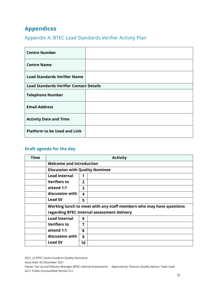# **Appendices**

# Appendix A: BTEC Lead Standards Verifier Activity Plan

| <b>Centre Number</b>                           |  |  |
|------------------------------------------------|--|--|
| <b>Centre Name</b>                             |  |  |
| <b>Lead Standards Verifier Name</b>            |  |  |
| <b>Lead Standards Verifier Contact Details</b> |  |  |
| <b>Telephone Number</b>                        |  |  |
| <b>Email Address</b>                           |  |  |
| <b>Activity Date and Time</b>                  |  |  |
| <b>Platform to be Used and Link</b>            |  |  |

#### **Draft agenda for the day**

| <b>Time</b> | <b>Activity</b>                        |                         |                                                                     |
|-------------|----------------------------------------|-------------------------|---------------------------------------------------------------------|
|             | <b>Welcome and introduction</b>        |                         |                                                                     |
|             | <b>Discussion with Quality Nominee</b> |                         |                                                                     |
|             | <b>Lead Internal</b>                   |                         |                                                                     |
|             | <b>Verifiers to</b>                    | $\overline{2}$          |                                                                     |
|             | attend 1:1                             | $\overline{\mathbf{3}}$ |                                                                     |
|             | discussion with                        | 4                       |                                                                     |
|             | <b>Lead SV</b>                         | 5                       |                                                                     |
|             |                                        |                         | Working lunch to meet with any staff members who may have questions |
|             |                                        |                         | regarding BTEC internal assessment delivery                         |
|             | <b>Lead Internal</b>                   | 6                       |                                                                     |
|             | <b>Verifiers to</b>                    | 7                       |                                                                     |
|             | attend 1:1                             | 8                       |                                                                     |
|             | discussion with                        | 9                       |                                                                     |
|             | <b>Lead SV</b>                         | 10                      |                                                                     |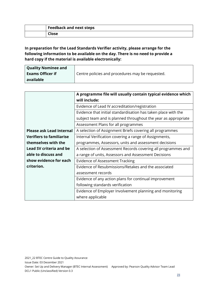| <b>Feedback and next steps</b> |
|--------------------------------|
|                                |

#### **In preparation for the Lead Standards Verifier activity, please arrange for the following information to be available on the day. There is no need to provide a hard copy if the material is available electronically:**

| Quality Nominee and     |                                                  |
|-------------------------|--------------------------------------------------|
| <b>Exams Officer if</b> | Centre policies and procedures may be requested. |
| available               |                                                  |

|                                 | A programme file will usually contain typical evidence which   |
|---------------------------------|----------------------------------------------------------------|
|                                 | will include:                                                  |
|                                 | Evidence of Lead IV accreditation/registration                 |
|                                 | Evidence that initial standardisation has taken place with the |
|                                 | subject team and is planned throughout the year as appropriate |
|                                 | Assessment Plans for all programmes                            |
| <b>Please ask Lead Internal</b> | A selection of Assignment Briefs covering all programmes       |
| <b>Verifiers to familiarise</b> | Internal Verification covering a range of Assignments,         |
| themselves with the             | programmes, Assessors, units and assessment decisions          |
| <b>Lead SV criteria and be</b>  | A selection of Assessment Records covering all programmes and  |
| able to discuss and             | a range of units, Assessors and Assessment Decisions           |
| show evidence for each          | <b>Evidence of Assessment Tracking</b>                         |
| criterion.                      | Evidence of Resubmissions/Retakes and the associated           |
|                                 | assessment records                                             |
|                                 | Evidence of any action plans for continual improvement         |
|                                 | following standards verification                               |
|                                 | Evidence of Employer Involvement planning and monitoring       |
|                                 | where applicable                                               |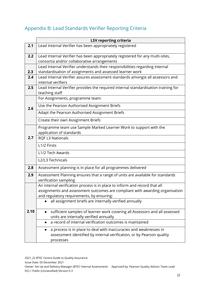# Appendix B: Lead Standards Verifier Reporting Criteria

|      | <b>LSV reporting criteria</b>                                                                                             |  |
|------|---------------------------------------------------------------------------------------------------------------------------|--|
| 2.1  | Lead Internal Verifier has been appropriately registered                                                                  |  |
| 2.2  | Lead Internal Verifier has been appropriately registered for any multi-sites,                                             |  |
|      | consortia and/or collaborative arrangements                                                                               |  |
|      | Lead Internal Verifier understands their responsibilities regarding internal                                              |  |
| 2.3  | standardisation of assignments and assessed learner work                                                                  |  |
| 2.4  | Lead Internal Verifier assures assessment standards amongst all assessors and<br>internal verifiers                       |  |
| 2.5  | Lead Internal Verifier provides the required internal standardisation training for                                        |  |
|      | teaching staff                                                                                                            |  |
|      | For Assignments, programme team:                                                                                          |  |
| 2.6  | Use the Pearson Authorised Assignment Briefs                                                                              |  |
|      | Adapt the Pearson Authorised Assignment Briefs                                                                            |  |
|      | Create their own Assignment Briefs                                                                                        |  |
| 2.7  | Programme team use Sample Marked Learner Work to support with the                                                         |  |
|      | application of standards                                                                                                  |  |
|      | <b>RQF L3 Nationals</b>                                                                                                   |  |
|      | L1/2 Firsts                                                                                                               |  |
|      | L1/2 Tech Awards                                                                                                          |  |
|      | L2/L3 Technicals                                                                                                          |  |
| 2.8  | Assessment planning is in place for all programmes delivered                                                              |  |
| 2.9  | Assessment Planning ensures that a range of units are available for standards                                             |  |
|      | verification sampling                                                                                                     |  |
|      | An internal verification process is in place to inform and record that all                                                |  |
|      | assignments and assessment outcomes are compliant with awarding organisation<br>and regulatory requirements, by ensuring: |  |
|      | all assignment briefs are internally verified annually                                                                    |  |
|      |                                                                                                                           |  |
| 2.10 | sufficient samples of learner work covering all Assessors and all assessed                                                |  |
|      | units are internally verified annually                                                                                    |  |
|      | a record of internal verification outcomes is maintained                                                                  |  |
|      | a process is in place to deal with inaccuracies and weaknesses in                                                         |  |
|      | assessment identified by internal verification, or by Pearson quality                                                     |  |
|      | processes                                                                                                                 |  |